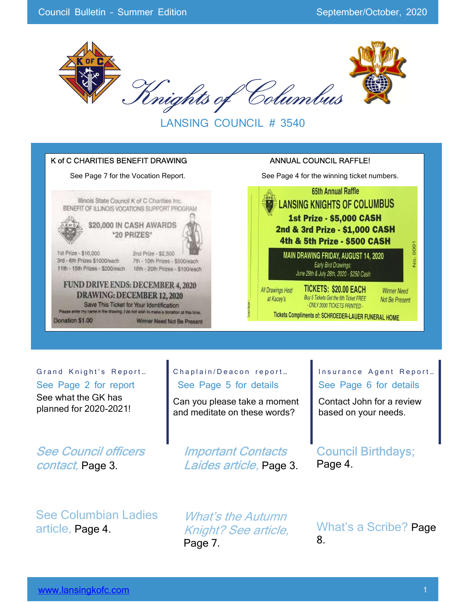

LANSING COUNCIL # 3540



#### Grand Knight's Report...

See Page 2 for report See what the GK has planned for 2020-2021!

See Council officers contact, Page 3.

See Columbian Ladies article, Page 4.

#### Chaplain/Deacon report... See Page 5 for details

Can you please take a moment and meditate on these words?

Important Contacts Laides article, Page 3. Insurance Agent Report... See Page 6 for details

Contact John for a review based on your needs.

Council Birthdays; Page 4.

What's the Autumn Knight? See article, Page 7.

What's a Scribe? Page 8.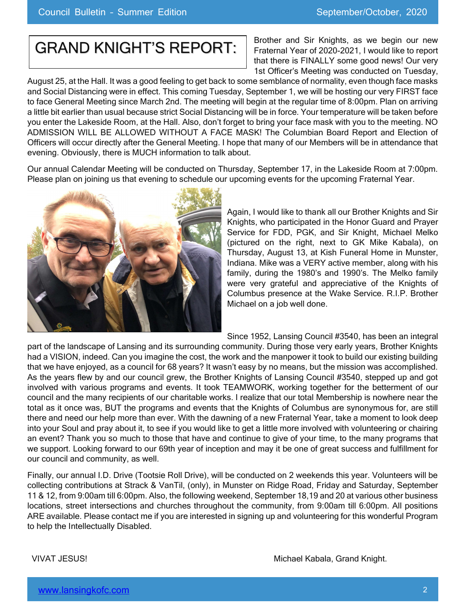# GRAND KNIGHT'S REPORT:

Brother and Sir Knights, as we begin our new Fraternal Year of 2020-2021, I would like to report that there is FINALLY some good news! Our very 1st Officer's Meeting was conducted on Tuesday,

August 25, at the Hall. It was a good feeling to get back to some semblance of normality, even though face masks and Social Distancing were in effect. This coming Tuesday, September 1, we will be hosting our very FIRST face to face General Meeting since March 2nd. The meeting will begin at the regular time of 8:00pm. Plan on arriving a little bit earlier than usual because strict Social Distancing will be in force. Your temperature will be taken before you enter the Lakeside Room, at the Hall. Also, don't forget to bring your face mask with you to the meeting. NO ADMISSION WILL BE ALLOWED WITHOUT A FACE MASK! The Columbian Board Report and Election of Officers will occur directly after the General Meeting. I hope that many of our Members will be in attendance that evening. Obviously, there is MUCH information to talk about.

Our annual Calendar Meeting will be conducted on Thursday, September 17, in the Lakeside Room at 7:00pm. Please plan on joining us that evening to schedule our upcoming events for the upcoming Fraternal Year.



Again, I would like to thank all our Brother Knights and Sir Knights, who participated in the Honor Guard and Prayer Service for FDD, PGK, and Sir Knight, Michael Melko (pictured on the right, next to GK Mike Kabala), on Thursday, August 13, at Kish Funeral Home in Munster, Indiana. Mike was a VERY active member, along with his family, during the 1980's and 1990's. The Melko family were very grateful and appreciative of the Knights of Columbus presence at the Wake Service. R.I.P. Brother Michael on a job well done.

Since 1952, Lansing Council #3540, has been an integral

part of the landscape of Lansing and its surrounding community. During those very early years, Brother Knights had a VISION, indeed. Can you imagine the cost, the work and the manpower it took to build our existing building that we have enjoyed, as a council for 68 years? It wasn't easy by no means, but the mission was accomplished. As the years flew by and our council grew, the Brother Knights of Lansing Council #3540, stepped up and got involved with various programs and events. It took TEAMWORK, working together for the betterment of our council and the many recipients of our charitable works. I realize that our total Membership is nowhere near the total as it once was, BUT the programs and events that the Knights of Columbus are synonymous for, are still there and need our help more than ever. With the dawning of a new Fraternal Year, take a moment to look deep into your Soul and pray about it, to see if you would like to get a little more involved with volunteering or chairing an event? Thank you so much to those that have and continue to give of your time, to the many programs that we support. Looking forward to our 69th year of inception and may it be one of great success and fulfillment for our council and community, as well.

Finally, our annual I.D. Drive (Tootsie Roll Drive), will be conducted on 2 weekends this year. Volunteers will be collecting contributions at Strack & VanTil, (only), in Munster on Ridge Road, Friday and Saturday, September 11 & 12, from 9:00am till 6:00pm. Also, the following weekend, September 18,19 and 20 at various other business locations, street intersections and churches throughout the community, from 9:00am till 6:00pm. All positions ARE available. Please contact me if you are interested in signing up and volunteering for this wonderful Program to help the Intellectually Disabled.

VIVAT JESUS! Michael Kabala, Grand Knight.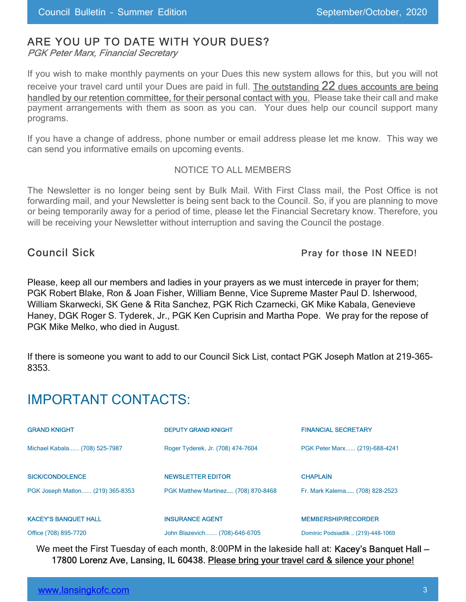## ARE YOU UP TO DATE WITH YOUR DUES?

PGK Peter Marx, Financial Secretary

If you wish to make monthly payments on your Dues this new system allows for this, but you will not receive your travel card until your Dues are paid in full. The outstanding 22 dues accounts are being handled by our retention committee, for their personal contact with you. Please take their call and make payment arrangements with them as soon as you can. Your dues help our council support many programs.

If you have a change of address, phone number or email address please let me know. This way we can send you informative emails on upcoming events.

#### NOTICE TO ALL MEMBERS

The Newsletter is no longer being sent by Bulk Mail. With First Class mail, the Post Office is not forwarding mail, and your Newsletter is being sent back to the Council. So, if you are planning to move or being temporarily away for a period of time, please let the Financial Secretary know. Therefore, you will be receiving your Newsletter without interruption and saving the Council the postage.

#### Council Sick **Pray for those IN NEED!**

Please, keep all our members and ladies in your prayers as we must intercede in prayer for them; PGK Robert Blake, Ron & Joan Fisher, William Benne, Vice Supreme Master Paul D. Isherwood, William Skarwecki, SK Gene & Rita Sanchez, PGK Rich Czarnecki, GK Mike Kabala, Genevieve Haney, DGK Roger S. Tyderek, Jr., PGK Ken Cuprisin and Martha Pope. We pray for the repose of PGK Mike Melko, who died in August.

If there is someone you want to add to our Council Sick List, contact PGK Joseph Matlon at 219-365- 8353.

## IMPORTANT CONTACTS:

| <b>GRAND KNIGHT</b>              | <b>DEPUTY GRAND KNIGHT</b>          | <b>FINANCIAL SECRETARY</b>     |
|----------------------------------|-------------------------------------|--------------------------------|
| Michael Kabala (708) 525-7987    | Roger Tyderek, Jr. (708) 474-7604   | PGK Peter Marx (219)-688-4241  |
| <b>SICK/CONDOLENCE</b>           | <b>NEWSLETTER EDITOR</b>            | <b>CHAPLAIN</b>                |
| PGK Joseph Matlon (219) 365-8353 | PGK Matthew Martinez (708) 870-8468 | Fr. Mark Kalema (708) 828-2523 |
| <b>KACEY'S BANQUET HALL</b>      | <b>INSURANCE AGENT</b>              | <b>MEMBERSHIP/RECORDER</b>     |

Office (708) 895-7720 John Blazevich....... (708)-646-6705 Dominic Podsiadlik … (219)-448-1069

We meet the First Tuesday of each month, 8:00PM in the lakeside hall at: Kacey's Banquet Hall -17800 Lorenz Ave, Lansing, IL 60438. Please bring your travel card & silence your phone!

| www.lansingkofc.com |  |
|---------------------|--|
|                     |  |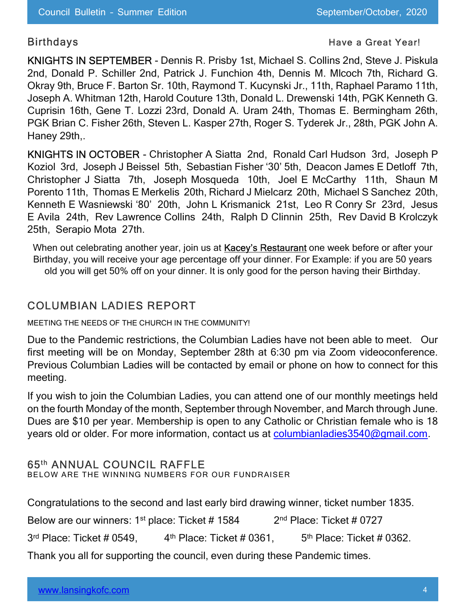#### Birthdays **Have a Great Year!** All the Birthdays **Have a Great Year!**

KNIGHTS IN SEPTEMBER - Dennis R. Prisby 1st, Michael S. Collins 2nd, Steve J. Piskula 2nd, Donald P. Schiller 2nd, Patrick J. Funchion 4th, Dennis M. Mlcoch 7th, Richard G. Okray 9th, Bruce F. Barton Sr. 10th, Raymond T. Kucynski Jr., 11th, Raphael Paramo 11th, Joseph A. Whitman 12th, Harold Couture 13th, Donald L. Drewenski 14th, PGK Kenneth G. Cuprisin 16th, Gene T. Lozzi 23rd, Donald A. Uram 24th, Thomas E. Bermingham 26th, PGK Brian C. Fisher 26th, Steven L. Kasper 27th, Roger S. Tyderek Jr., 28th, PGK John A. Haney 29th,.

KNIGHTS IN OCTOBER - Christopher A Siatta 2nd, Ronald Carl Hudson 3rd, Joseph P Koziol 3rd, Joseph J Beissel 5th, Sebastian Fisher '30' 5th, Deacon James E Detloff 7th, Christopher J Siatta 7th, Joseph Mosqueda 10th, Joel E McCarthy 11th, Shaun M Porento 11th, Thomas E Merkelis 20th, Richard J Mielcarz 20th, Michael S Sanchez 20th, Kenneth E Wasniewski '80' 20th, John L Krismanick 21st, Leo R Conry Sr 23rd, Jesus E Avila 24th, Rev Lawrence Collins 24th, Ralph D Clinnin 25th, Rev David B Krolczyk 25th, Serapio Mota 27th.

When out celebrating another year, join us at Kacey's Restaurant one week before or after your Birthday, you will receive your age percentage off your dinner. For Example: if you are 50 years old you will get 50% off on your dinner. It is only good for the person having their Birthday.

## COLUMBIAN LADIES REPORT

MEETING THE NEEDS OF THE CHURCH IN THE COMMUNITY!

Due to the Pandemic restrictions, the Columbian Ladies have not been able to meet. Our first meeting will be on Monday, September 28th at 6:30 pm via Zoom videoconference. Previous Columbian Ladies will be contacted by email or phone on how to connect for this meeting.

If you wish to join the Columbian Ladies, you can attend one of our monthly meetings held on the fourth Monday of the month, September through November, and March through June. Dues are \$10 per year. Membership is open to any Catholic or Christian female who is 18 years old or older. For more information, contact us at columbianladies3540@gmail.com.

### 65th ANNUAL COUNCIL RAFFLE

BELOW ARE THE WINNING NUMBERS FOR OUR FUNDRAISER

Congratulations to the second and last early bird drawing winner, ticket number 1835.

Below are our winners:  $1<sup>st</sup>$  place: Ticket # 1584 2<sup>nd</sup> Place: Ticket # 0727

 $3<sup>rd</sup>$  Place: Ticket # 0549,  $4<sup>th</sup>$  Place: Ticket # 0361, 5<sup>th</sup> Place: Ticket # 0362.

Thank you all for supporting the council, even during these Pandemic times.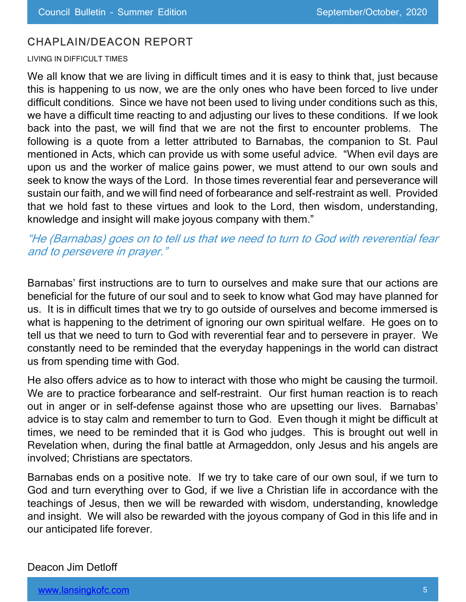### CHAPLAIN/DEACON REPORT

#### LIVING IN DIFFICULT TIMES

We all know that we are living in difficult times and it is easy to think that, just because this is happening to us now, we are the only ones who have been forced to live under difficult conditions. Since we have not been used to living under conditions such as this, we have a difficult time reacting to and adjusting our lives to these conditions. If we look back into the past, we will find that we are not the first to encounter problems. The following is a quote from a letter attributed to Barnabas, the companion to St. Paul mentioned in Acts, which can provide us with some useful advice. "When evil days are upon us and the worker of malice gains power, we must attend to our own souls and seek to know the ways of the Lord. In those times reverential fear and perseverance will sustain our faith, and we will find need of forbearance and self-restraint as well. Provided that we hold fast to these virtues and look to the Lord, then wisdom, understanding, knowledge and insight will make joyous company with them."

"He (Barnabas) goes on to tell us that we need to turn to God with reverential fear and to persevere in prayer."

Barnabas' first instructions are to turn to ourselves and make sure that our actions are beneficial for the future of our soul and to seek to know what God may have planned for us. It is in difficult times that we try to go outside of ourselves and become immersed is what is happening to the detriment of ignoring our own spiritual welfare. He goes on to tell us that we need to turn to God with reverential fear and to persevere in prayer. We constantly need to be reminded that the everyday happenings in the world can distract us from spending time with God.

He also offers advice as to how to interact with those who might be causing the turmoil. We are to practice forbearance and self-restraint. Our first human reaction is to reach out in anger or in self-defense against those who are upsetting our lives. Barnabas' advice is to stay calm and remember to turn to God. Even though it might be difficult at times, we need to be reminded that it is God who judges. This is brought out well in Revelation when, during the final battle at Armageddon, only Jesus and his angels are involved; Christians are spectators.

Barnabas ends on a positive note. If we try to take care of our own soul, if we turn to God and turn everything over to God, if we live a Christian life in accordance with the teachings of Jesus, then we will be rewarded with wisdom, understanding, knowledge and insight. We will also be rewarded with the joyous company of God in this life and in our anticipated life forever.

#### Deacon Jim Detloff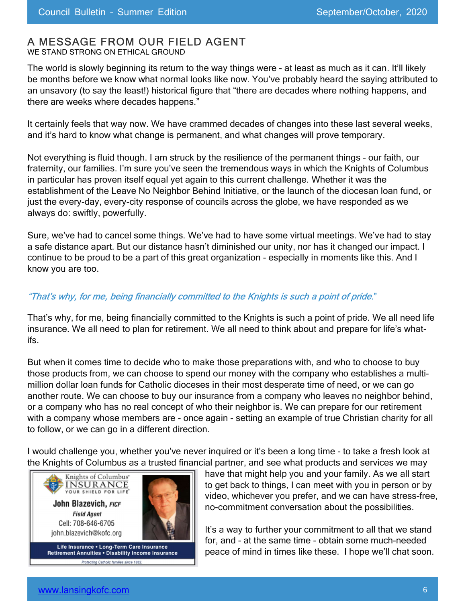### A MESSAGE FROM OUR FIELD AGENT

WE STAND STRONG ON ETHICAL GROUND

The world is slowly beginning its return to the way things were - at least as much as it can. It'll likely be months before we know what normal looks like now. You've probably heard the saying attributed to an unsavory (to say the least!) historical figure that "there are decades where nothing happens, and there are weeks where decades happens."

It certainly feels that way now. We have crammed decades of changes into these last several weeks, and it's hard to know what change is permanent, and what changes will prove temporary.

Not everything is fluid though. I am struck by the resilience of the permanent things - our faith, our fraternity, our families. I'm sure you've seen the tremendous ways in which the Knights of Columbus in particular has proven itself equal yet again to this current challenge. Whether it was the establishment of the Leave No Neighbor Behind Initiative, or the launch of the diocesan loan fund, or just the every-day, every-city response of councils across the globe, we have responded as we always do: swiftly, powerfully.

Sure, we've had to cancel some things. We've had to have some virtual meetings. We've had to stay a safe distance apart. But our distance hasn't diminished our unity, nor has it changed our impact. I continue to be proud to be a part of this great organization - especially in moments like this. And I know you are too.

#### "That's why, for me, being financially committed to the Knights is such a point of pride."

That's why, for me, being financially committed to the Knights is such a point of pride. We all need life insurance. We all need to plan for retirement. We all need to think about and prepare for life's whatifs.

But when it comes time to decide who to make those preparations with, and who to choose to buy those products from, we can choose to spend our money with the company who establishes a multimillion dollar loan funds for Catholic dioceses in their most desperate time of need, or we can go another route. We can choose to buy our insurance from a company who leaves no neighbor behind, or a company who has no real concept of who their neighbor is. We can prepare for our retirement with a company whose members are - once again - setting an example of true Christian charity for all to follow, or we can go in a different direction.

I would challenge you, whether you've never inquired or it's been a long time - to take a fresh look at the Knights of Columbus as a trusted financial partner, and see what products and services we may



ting Catholic families since 1882.

have that might help you and your family. As we all start to get back to things, I can meet with you in person or by video, whichever you prefer, and we can have stress-free, no-commitment conversation about the possibilities.

It's a way to further your commitment to all that we stand for, and - at the same time - obtain some much-needed peace of mind in times like these. I hope we'll chat soon.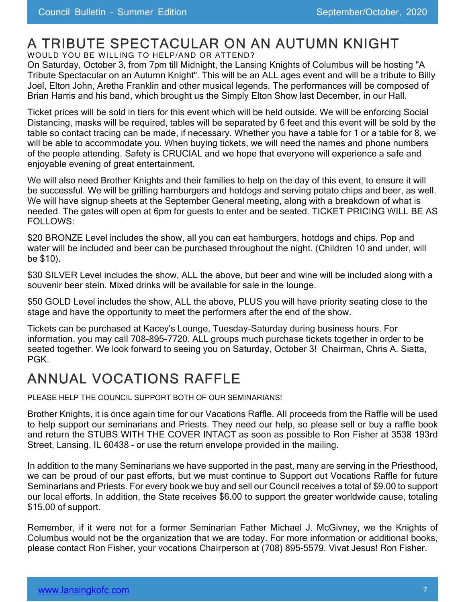## A TRIBUTE SPECTACULAR ON AN AUTUMN KNIGHT

WOULD YOU BE WILLING TO HELP/AND OR ATTEND?

On Saturday, October 3, from 7pm till Midnight, the Lansing Knights of Columbus will be hosting "A Tribute Spectacular on an Autumn Knight". This will be an ALL ages event and will be a tribute to Billy Joel, Elton John, Aretha Franklin and other musical legends. The performances will be composed of Brian Harris and his band, which brought us the Simply Elton Show last December, in our Hall.

Ticket prices will be sold in tiers for this event which will be held outside. We will be enforcing Social Distancing, masks will be required, tables will be separated by 6 feet and this event will be sold by the table so contact tracing can be made, if necessary. Whether you have a table for 1 or a table for 8, we will be able to accommodate you. When buying tickets, we will need the names and phone numbers of the people attending. Safety is CRUCIAL and we hope that everyone will experience a safe and enjoyable evening of great entertainment.

We will also need Brother Knights and their families to help on the day of this event, to ensure it will be successful. We will be grilling hamburgers and hotdogs and serving potato chips and beer, as well. We will have signup sheets at the September General meeting, along with a breakdown of what is needed. The gates will open at 6pm for guests to enter and be seated. TICKET PRICING WILL BE AS FOLLOWS:

\$20 BRONZE Level includes the show, all you can eat hamburgers, hotdogs and chips. Pop and water will be included and beer can be purchased throughout the night. (Children 10 and under, will be \$10).

\$30 SILVER Level includes the show, ALL the above, but beer and wine will be included along with a souvenir beer stein. Mixed drinks will be available for sale in the lounge.

\$50 GOLD Level includes the show, ALL the above, PLUS you will have priority seating close to the stage and have the opportunity to meet the performers after the end of the show.

Tickets can be purchased at Kacey's Lounge, Tuesday-Saturday during business hours. For information, you may call 708-895-7720. ALL groups much purchase tickets together in order to be seated together. We look forward to seeing you on Saturday, October 3! Chairman, Chris A. Siatta, PGK.

# ANNUAL VOCATIONS RAFFLE

PLEASE HELP THE COUNCIL SUPPORT BOTH OF OUR SEMINARIANS!

Brother Knights, it is once again time for our Vacations Raffle. All proceeds from the Raffle will be used to help support our seminarians and Priests. They need our help, so please sell or buy a raffle book and return the STUBS WITH THE COVER INTACT as soon as possible to Ron Fisher at 3538 193rd Street, Lansing, IL 60438 – or use the return envelope provided in the mailing.

In addition to the many Seminarians we have supported in the past, many are serving in the Priesthood, we can be proud of our past efforts, but we must continue to Support out Vocations Raffle for future Seminarians and Priests. For every book we buy and sell our Council receives a total of \$9.00 to support our local efforts. In addition, the State receives \$6.00 to support the greater worldwide cause, totaling \$15.00 of support.

Remember, if it were not for a former Seminarian Father Michael J. McGivney, we the Knights of Columbus would not be the organization that we are today. For more information or additional books, please contact Ron Fisher, your vocations Chairperson at (708) 895-5579. Vivat Jesus! Ron Fisher.